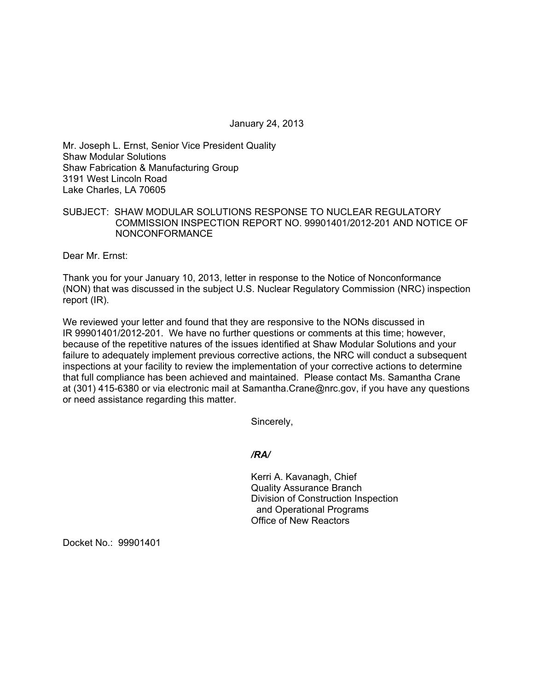January 24, 2013

Mr. Joseph L. Ernst, Senior Vice President Quality Shaw Modular Solutions Shaw Fabrication & Manufacturing Group 3191 West Lincoln Road Lake Charles, LA 70605

# SUBJECT: SHAW MODULAR SOLUTIONS RESPONSE TO NUCLEAR REGULATORY COMMISSION INSPECTION REPORT NO. 99901401/2012-201 AND NOTICE OF NONCONFORMANCE

Dear Mr. Ernst:

Thank you for your January 10, 2013, letter in response to the Notice of Nonconformance (NON) that was discussed in the subject U.S. Nuclear Regulatory Commission (NRC) inspection report (IR).

We reviewed your letter and found that they are responsive to the NONs discussed in IR 99901401/2012-201. We have no further questions or comments at this time; however, because of the repetitive natures of the issues identified at Shaw Modular Solutions and your failure to adequately implement previous corrective actions, the NRC will conduct a subsequent inspections at your facility to review the implementation of your corrective actions to determine that full compliance has been achieved and maintained. Please contact Ms. Samantha Crane at (301) 415-6380 or via electronic mail at Samantha.Crane@nrc.gov, if you have any questions or need assistance regarding this matter.

Sincerely,

## */RA/*

Kerri A. Kavanagh, Chief Quality Assurance Branch Division of Construction Inspection and Operational Programs Office of New Reactors

Docket No.: 99901401